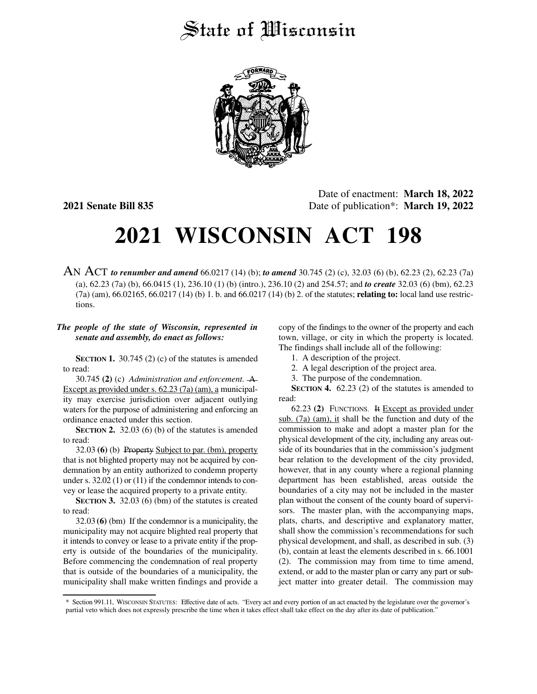## State of Wisconsin



Date of enactment: **March 18, 2022 2021 Senate Bill 835** Date of publication\*: **March 19, 2022**

## **2021 WISCONSIN ACT 198**

AN ACT *to renumber and amend* 66.0217 (14) (b); *to amend* 30.745 (2) (c), 32.03 (6) (b), 62.23 (2), 62.23 (7a) (a), 62.23 (7a) (b), 66.0415 (1), 236.10 (1) (b) (intro.), 236.10 (2) and 254.57; and *to create* 32.03 (6) (bm), 62.23 (7a) (am), 66.02165, 66.0217 (14) (b) 1. b. and 66.0217 (14) (b) 2. of the statutes; **relating to:** local land use restrictions.

## *The people of the state of Wisconsin, represented in senate and assembly, do enact as follows:*

**SECTION 1.** 30.745 (2) (c) of the statutes is amended to read:

30.745 **(2)** (c) *Administration and enforcement.* A Except as provided under s. 62.23 (7a) (am), a municipality may exercise jurisdiction over adjacent outlying waters for the purpose of administering and enforcing an ordinance enacted under this section.

**SECTION 2.** 32.03 (6) (b) of the statutes is amended to read:

32.03 **(6)** (b) Property Subject to par. (bm), property that is not blighted property may not be acquired by condemnation by an entity authorized to condemn property under s. 32.02 (1) or (11) if the condemnor intends to convey or lease the acquired property to a private entity.

**SECTION 3.** 32.03 (6) (bm) of the statutes is created to read:

32.03 **(6)** (bm) If the condemnor is a municipality, the municipality may not acquire blighted real property that it intends to convey or lease to a private entity if the property is outside of the boundaries of the municipality. Before commencing the condemnation of real property that is outside of the boundaries of a municipality, the municipality shall make written findings and provide a copy of the findings to the owner of the property and each town, village, or city in which the property is located. The findings shall include all of the following:

- 1. A description of the project.
- 2. A legal description of the project area.
- 3. The purpose of the condemnation.

**SECTION 4.** 62.23 (2) of the statutes is amended to read:

62.23 **(2)** FUNCTIONS. It Except as provided under sub. (7a) (am), it shall be the function and duty of the commission to make and adopt a master plan for the physical development of the city, including any areas outside of its boundaries that in the commission's judgment bear relation to the development of the city provided, however, that in any county where a regional planning department has been established, areas outside the boundaries of a city may not be included in the master plan without the consent of the county board of supervisors. The master plan, with the accompanying maps, plats, charts, and descriptive and explanatory matter, shall show the commission's recommendations for such physical development, and shall, as described in sub. (3) (b), contain at least the elements described in s. 66.1001 (2). The commission may from time to time amend, extend, or add to the master plan or carry any part or subject matter into greater detail. The commission may

<sup>\*</sup> Section 991.11, WISCONSIN STATUTES: Effective date of acts. "Every act and every portion of an act enacted by the legislature over the governor's partial veto which does not expressly prescribe the time when it takes effect shall take effect on the day after its date of publication."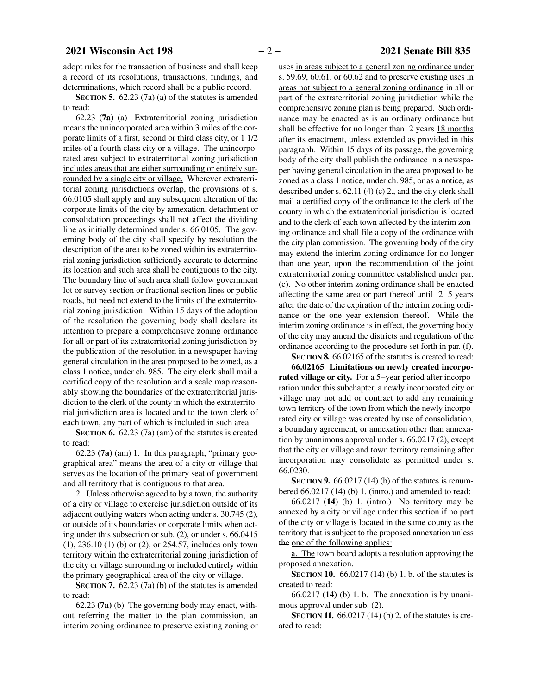adopt rules for the transaction of business and shall keep a record of its resolutions, transactions, findings, and determinations, which record shall be a public record.

**SECTION 5.** 62.23 (7a) (a) of the statutes is amended to read:

62.23 **(7a)** (a) Extraterritorial zoning jurisdiction means the unincorporated area within 3 miles of the corporate limits of a first, second or third class city, or 1 1/2 miles of a fourth class city or a village. The unincorporated area subject to extraterritorial zoning jurisdiction includes areas that are either surrounding or entirely surrounded by a single city or village. Wherever extraterritorial zoning jurisdictions overlap, the provisions of s. 66.0105 shall apply and any subsequent alteration of the corporate limits of the city by annexation, detachment or consolidation proceedings shall not affect the dividing line as initially determined under s. 66.0105. The governing body of the city shall specify by resolution the description of the area to be zoned within its extraterritorial zoning jurisdiction sufficiently accurate to determine its location and such area shall be contiguous to the city. The boundary line of such area shall follow government lot or survey section or fractional section lines or public roads, but need not extend to the limits of the extraterritorial zoning jurisdiction. Within 15 days of the adoption of the resolution the governing body shall declare its intention to prepare a comprehensive zoning ordinance for all or part of its extraterritorial zoning jurisdiction by the publication of the resolution in a newspaper having general circulation in the area proposed to be zoned, as a class 1 notice, under ch. 985. The city clerk shall mail a certified copy of the resolution and a scale map reasonably showing the boundaries of the extraterritorial jurisdiction to the clerk of the county in which the extraterritorial jurisdiction area is located and to the town clerk of each town, any part of which is included in such area.

**SECTION 6.** 62.23 (7a) (am) of the statutes is created to read:

62.23 **(7a)** (am) 1. In this paragraph, "primary geographical area" means the area of a city or village that serves as the location of the primary seat of government and all territory that is contiguous to that area.

2. Unless otherwise agreed to by a town, the authority of a city or village to exercise jurisdiction outside of its adjacent outlying waters when acting under s. 30.745 (2), or outside of its boundaries or corporate limits when acting under this subsection or sub. (2), or under s. 66.0415 (1), 236.10 (1) (b) or (2), or 254.57, includes only town territory within the extraterritorial zoning jurisdiction of the city or village surrounding or included entirely within the primary geographical area of the city or village.

**SECTION 7.** 62.23 (7a) (b) of the statutes is amended to read:

62.23 **(7a)** (b) The governing body may enact, without referring the matter to the plan commission, an interim zoning ordinance to preserve existing zoning or

uses in areas subject to a general zoning ordinance under s. 59.69, 60.61, or 60.62 and to preserve existing uses in areas not subject to a general zoning ordinance in all or part of the extraterritorial zoning jurisdiction while the comprehensive zoning plan is being prepared. Such ordinance may be enacted as is an ordinary ordinance but shall be effective for no longer than  $-2$  years 18 months after its enactment, unless extended as provided in this paragraph. Within 15 days of its passage, the governing body of the city shall publish the ordinance in a newspaper having general circulation in the area proposed to be zoned as a class 1 notice, under ch. 985, or as a notice, as described under s. 62.11 (4) (c) 2., and the city clerk shall mail a certified copy of the ordinance to the clerk of the county in which the extraterritorial jurisdiction is located and to the clerk of each town affected by the interim zoning ordinance and shall file a copy of the ordinance with the city plan commission. The governing body of the city may extend the interim zoning ordinance for no longer than one year, upon the recommendation of the joint extraterritorial zoning committee established under par. (c). No other interim zoning ordinance shall be enacted affecting the same area or part thereof until  $\frac{2}{5}$  years after the date of the expiration of the interim zoning ordinance or the one year extension thereof. While the interim zoning ordinance is in effect, the governing body of the city may amend the districts and regulations of the ordinance according to the procedure set forth in par. (f).

**SECTION 8.** 66.02165 of the statutes is created to read:

**66.02165 Limitations on newly created incorporated village or city.** For a 5−year period after incorporation under this subchapter, a newly incorporated city or village may not add or contract to add any remaining town territory of the town from which the newly incorporated city or village was created by use of consolidation, a boundary agreement, or annexation other than annexation by unanimous approval under s. 66.0217 (2), except that the city or village and town territory remaining after incorporation may consolidate as permitted under s. 66.0230.

**SECTION 9.** 66.0217 (14) (b) of the statutes is renumbered 66.0217 (14) (b) 1. (intro.) and amended to read:

66.0217 **(14)** (b) 1. (intro.) No territory may be annexed by a city or village under this section if no part of the city or village is located in the same county as the territory that is subject to the proposed annexation unless the one of the following applies:

a. The town board adopts a resolution approving the proposed annexation.

**SECTION 10.** 66.0217 (14) (b) 1. b. of the statutes is created to read:

66.0217 **(14)** (b) 1. b. The annexation is by unanimous approval under sub. (2).

**SECTION 11.** 66.0217 (14) (b) 2. of the statutes is created to read: